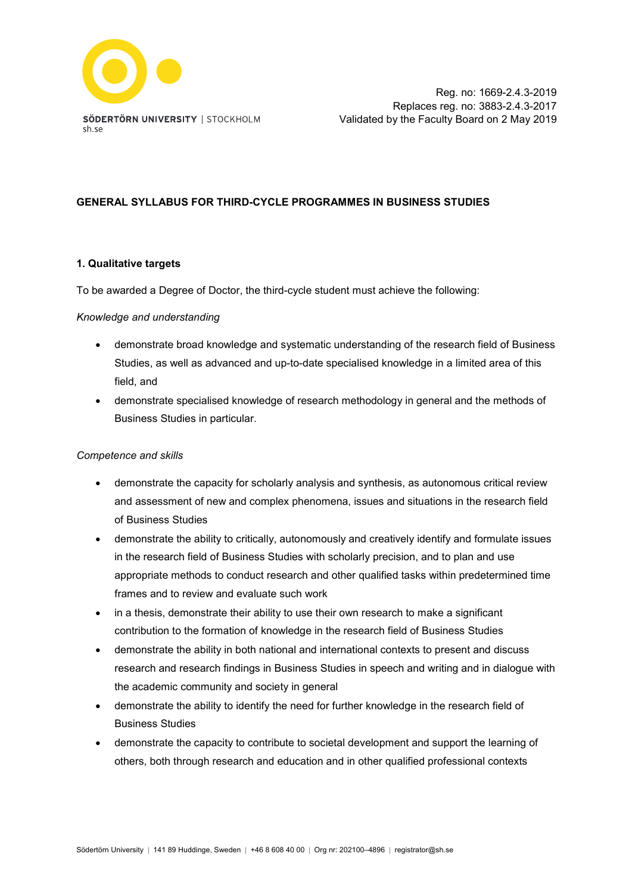

#### **GENERAL SYLLABUS FOR THIRD-CYCLE PROGRAMMES IN BUSINESS STUDIES**

#### **1. Qualitative targets**

To be awarded a Degree of Doctor, the third-cycle student must achieve the following:

#### *Knowledge and understanding*

- demonstrate broad knowledge and systematic understanding of the research field of Business Studies, as well as advanced and up-to-date specialised knowledge in a limited area of this field, and
- demonstrate specialised knowledge of research methodology in general and the methods of Business Studies in particular.

#### *Competence and skills*

- demonstrate the capacity for scholarly analysis and synthesis, as autonomous critical review and assessment of new and complex phenomena, issues and situations in the research field of Business Studies
- demonstrate the ability to critically, autonomously and creatively identify and formulate issues in the research field of Business Studies with scholarly precision, and to plan and use appropriate methods to conduct research and other qualified tasks within predetermined time frames and to review and evaluate such work
- in a thesis, demonstrate their ability to use their own research to make a significant contribution to the formation of knowledge in the research field of Business Studies
- demonstrate the ability in both national and international contexts to present and discuss research and research findings in Business Studies in speech and writing and in dialogue with the academic community and society in general
- demonstrate the ability to identify the need for further knowledge in the research field of Business Studies
- demonstrate the capacity to contribute to societal development and support the learning of others, both through research and education and in other qualified professional contexts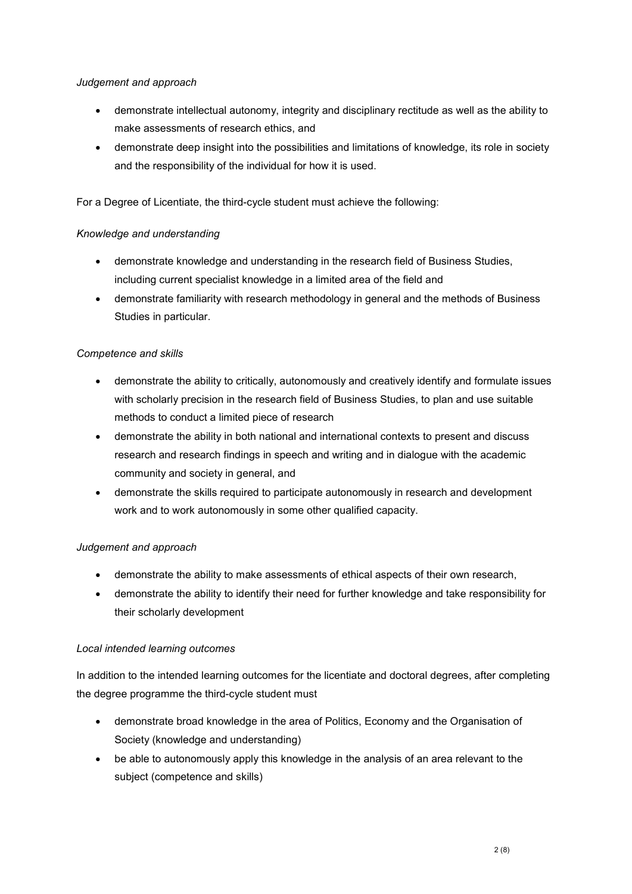## *Judgement and approach*

- demonstrate intellectual autonomy, integrity and disciplinary rectitude as well as the ability to make assessments of research ethics, and
- demonstrate deep insight into the possibilities and limitations of knowledge, its role in society and the responsibility of the individual for how it is used.

For a Degree of Licentiate, the third-cycle student must achieve the following:

## *Knowledge and understanding*

- demonstrate knowledge and understanding in the research field of Business Studies, including current specialist knowledge in a limited area of the field and
- demonstrate familiarity with research methodology in general and the methods of Business Studies in particular.

# *Competence and skills*

- demonstrate the ability to critically, autonomously and creatively identify and formulate issues with scholarly precision in the research field of Business Studies, to plan and use suitable methods to conduct a limited piece of research
- demonstrate the ability in both national and international contexts to present and discuss research and research findings in speech and writing and in dialogue with the academic community and society in general, and
- demonstrate the skills required to participate autonomously in research and development work and to work autonomously in some other qualified capacity.

# *Judgement and approach*

- demonstrate the ability to make assessments of ethical aspects of their own research,
- demonstrate the ability to identify their need for further knowledge and take responsibility for their scholarly development

# *Local intended learning outcomes*

In addition to the intended learning outcomes for the licentiate and doctoral degrees, after completing the degree programme the third-cycle student must

- demonstrate broad knowledge in the area of Politics, Economy and the Organisation of Society (knowledge and understanding)
- be able to autonomously apply this knowledge in the analysis of an area relevant to the subject (competence and skills)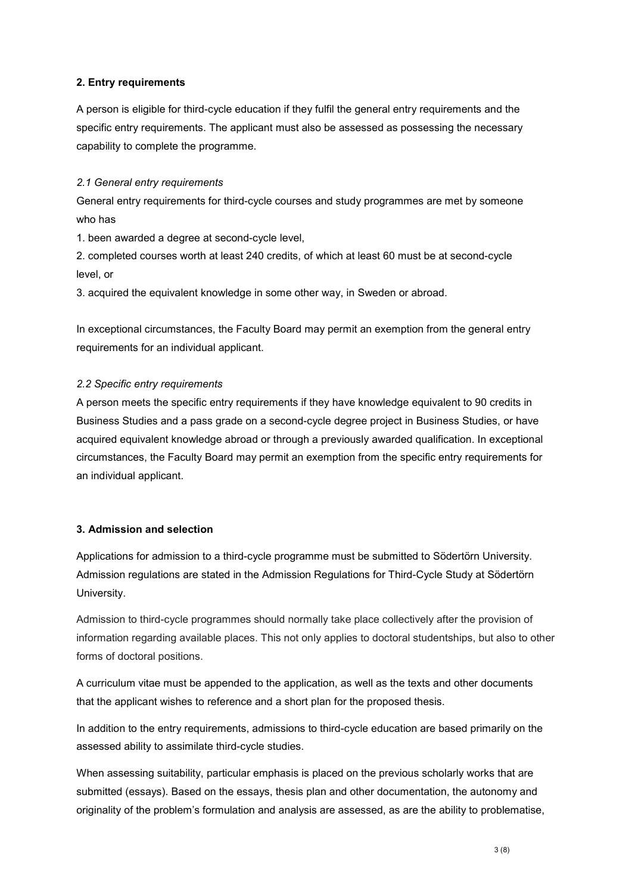#### **2. Entry requirements**

A person is eligible for third-cycle education if they fulfil the general entry requirements and the specific entry requirements. The applicant must also be assessed as possessing the necessary capability to complete the programme.

#### *2.1 General entry requirements*

General entry requirements for third-cycle courses and study programmes are met by someone who has

1. been awarded a degree at second-cycle level,

2. completed courses worth at least 240 credits, of which at least 60 must be at second-cycle level, or

3. acquired the equivalent knowledge in some other way, in Sweden or abroad.

In exceptional circumstances, the Faculty Board may permit an exemption from the general entry requirements for an individual applicant.

## *2.2 Specific entry requirements*

A person meets the specific entry requirements if they have knowledge equivalent to 90 credits in Business Studies and a pass grade on a second-cycle degree project in Business Studies, or have acquired equivalent knowledge abroad or through a previously awarded qualification. In exceptional circumstances, the Faculty Board may permit an exemption from the specific entry requirements for an individual applicant.

#### **3. Admission and selection**

Applications for admission to a third-cycle programme must be submitted to Södertörn University. Admission regulations are stated in the Admission Regulations for Third-Cycle Study at Södertörn University.

Admission to third-cycle programmes should normally take place collectively after the provision of information regarding available places. This not only applies to doctoral studentships, but also to other forms of doctoral positions.

A curriculum vitae must be appended to the application, as well as the texts and other documents that the applicant wishes to reference and a short plan for the proposed thesis.

In addition to the entry requirements, admissions to third-cycle education are based primarily on the assessed ability to assimilate third-cycle studies.

When assessing suitability, particular emphasis is placed on the previous scholarly works that are submitted (essays). Based on the essays, thesis plan and other documentation, the autonomy and originality of the problem's formulation and analysis are assessed, as are the ability to problematise,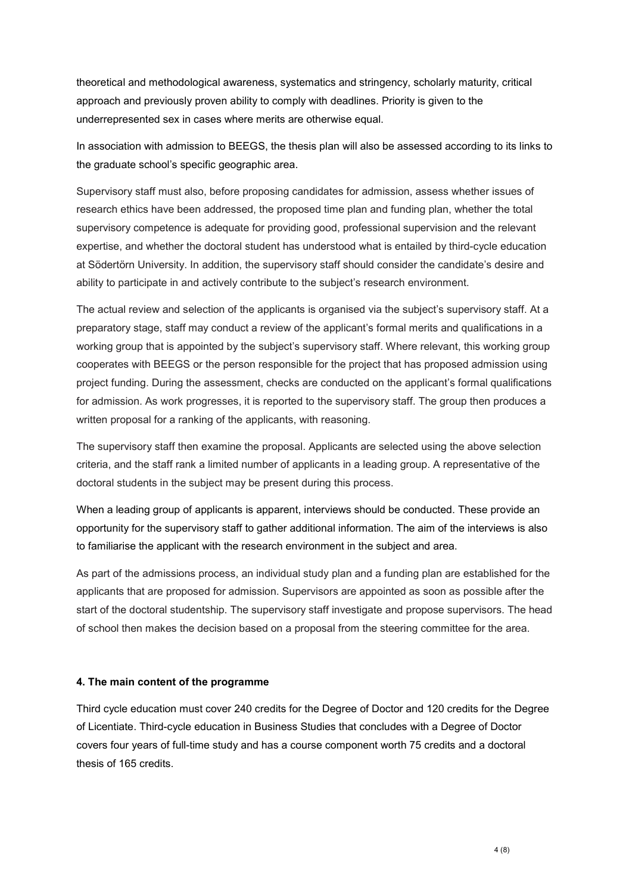theoretical and methodological awareness, systematics and stringency, scholarly maturity, critical approach and previously proven ability to comply with deadlines. Priority is given to the underrepresented sex in cases where merits are otherwise equal.

In association with admission to BEEGS, the thesis plan will also be assessed according to its links to the graduate school's specific geographic area.

Supervisory staff must also, before proposing candidates for admission, assess whether issues of research ethics have been addressed, the proposed time plan and funding plan, whether the total supervisory competence is adequate for providing good, professional supervision and the relevant expertise, and whether the doctoral student has understood what is entailed by third-cycle education at Södertörn University. In addition, the supervisory staff should consider the candidate's desire and ability to participate in and actively contribute to the subject's research environment.

The actual review and selection of the applicants is organised via the subject's supervisory staff. At a preparatory stage, staff may conduct a review of the applicant's formal merits and qualifications in a working group that is appointed by the subject's supervisory staff. Where relevant, this working group cooperates with BEEGS or the person responsible for the project that has proposed admission using project funding. During the assessment, checks are conducted on the applicant's formal qualifications for admission. As work progresses, it is reported to the supervisory staff. The group then produces a written proposal for a ranking of the applicants, with reasoning.

The supervisory staff then examine the proposal. Applicants are selected using the above selection criteria, and the staff rank a limited number of applicants in a leading group. A representative of the doctoral students in the subject may be present during this process.

When a leading group of applicants is apparent, interviews should be conducted. These provide an opportunity for the supervisory staff to gather additional information. The aim of the interviews is also to familiarise the applicant with the research environment in the subject and area.

As part of the admissions process, an individual study plan and a funding plan are established for the applicants that are proposed for admission. Supervisors are appointed as soon as possible after the start of the doctoral studentship. The supervisory staff investigate and propose supervisors. The head of school then makes the decision based on a proposal from the steering committee for the area.

#### **4. The main content of the programme**

Third cycle education must cover 240 credits for the Degree of Doctor and 120 credits for the Degree of Licentiate. Third-cycle education in Business Studies that concludes with a Degree of Doctor covers four years of full-time study and has a course component worth 75 credits and a doctoral thesis of 165 credits.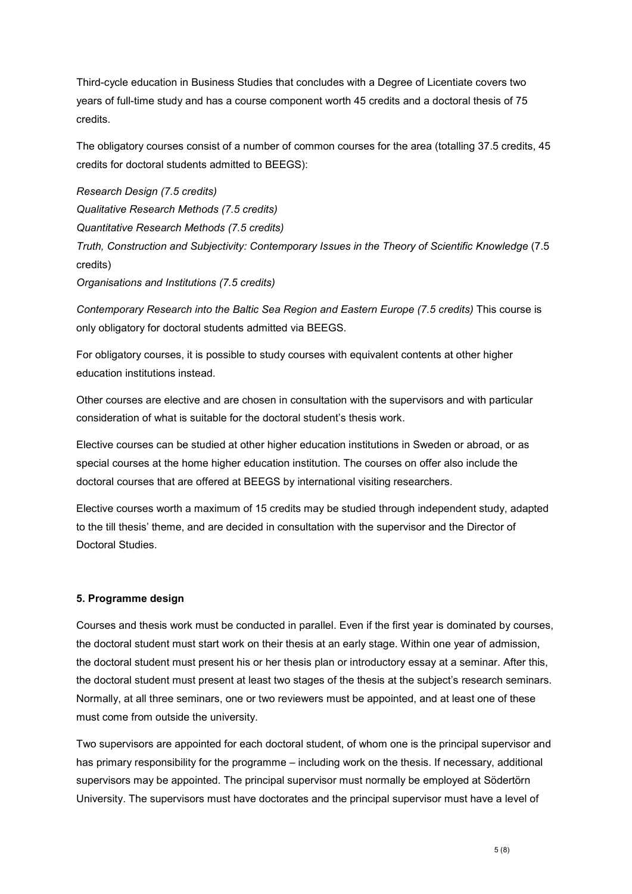Third-cycle education in Business Studies that concludes with a Degree of Licentiate covers two years of full-time study and has a course component worth 45 credits and a doctoral thesis of 75 credits.

The obligatory courses consist of a number of common courses for the area (totalling 37.5 credits, 45 credits for doctoral students admitted to BEEGS):

*Research Design (7.5 credits) Qualitative Research Methods (7.5 credits) Quantitative Research Methods (7.5 credits) Truth, Construction and Subjectivity: Contemporary Issues in the Theory of Scientific Knowledge* (7.5 credits) *Organisations and Institutions (7.5 credits)*

*Contemporary Research into the Baltic Sea Region and Eastern Europe (7.5 credits)* This course is only obligatory for doctoral students admitted via BEEGS.

For obligatory courses, it is possible to study courses with equivalent contents at other higher education institutions instead.

Other courses are elective and are chosen in consultation with the supervisors and with particular consideration of what is suitable for the doctoral student's thesis work.

Elective courses can be studied at other higher education institutions in Sweden or abroad, or as special courses at the home higher education institution. The courses on offer also include the doctoral courses that are offered at BEEGS by international visiting researchers.

Elective courses worth a maximum of 15 credits may be studied through independent study, adapted to the till thesis' theme, and are decided in consultation with the supervisor and the Director of Doctoral Studies.

#### **5. Programme design**

Courses and thesis work must be conducted in parallel. Even if the first year is dominated by courses, the doctoral student must start work on their thesis at an early stage. Within one year of admission, the doctoral student must present his or her thesis plan or introductory essay at a seminar. After this, the doctoral student must present at least two stages of the thesis at the subject's research seminars. Normally, at all three seminars, one or two reviewers must be appointed, and at least one of these must come from outside the university.

Two supervisors are appointed for each doctoral student, of whom one is the principal supervisor and has primary responsibility for the programme – including work on the thesis. If necessary, additional supervisors may be appointed. The principal supervisor must normally be employed at Södertörn University. The supervisors must have doctorates and the principal supervisor must have a level of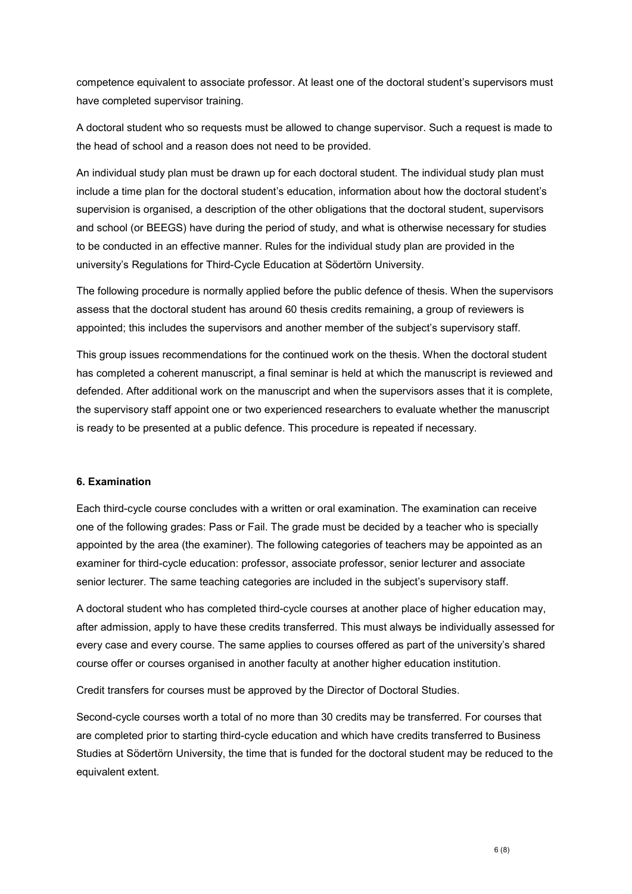competence equivalent to associate professor. At least one of the doctoral student's supervisors must have completed supervisor training.

A doctoral student who so requests must be allowed to change supervisor. Such a request is made to the head of school and a reason does not need to be provided.

An individual study plan must be drawn up for each doctoral student. The individual study plan must include a time plan for the doctoral student's education, information about how the doctoral student's supervision is organised, a description of the other obligations that the doctoral student, supervisors and school (or BEEGS) have during the period of study, and what is otherwise necessary for studies to be conducted in an effective manner. Rules for the individual study plan are provided in the university's Regulations for Third-Cycle Education at Södertörn University.

The following procedure is normally applied before the public defence of thesis. When the supervisors assess that the doctoral student has around 60 thesis credits remaining, a group of reviewers is appointed; this includes the supervisors and another member of the subject's supervisory staff.

This group issues recommendations for the continued work on the thesis. When the doctoral student has completed a coherent manuscript, a final seminar is held at which the manuscript is reviewed and defended. After additional work on the manuscript and when the supervisors asses that it is complete, the supervisory staff appoint one or two experienced researchers to evaluate whether the manuscript is ready to be presented at a public defence. This procedure is repeated if necessary.

#### **6. Examination**

Each third-cycle course concludes with a written or oral examination. The examination can receive one of the following grades: Pass or Fail. The grade must be decided by a teacher who is specially appointed by the area (the examiner). The following categories of teachers may be appointed as an examiner for third-cycle education: professor, associate professor, senior lecturer and associate senior lecturer. The same teaching categories are included in the subject's supervisory staff.

A doctoral student who has completed third-cycle courses at another place of higher education may, after admission, apply to have these credits transferred. This must always be individually assessed for every case and every course. The same applies to courses offered as part of the university's shared course offer or courses organised in another faculty at another higher education institution.

Credit transfers for courses must be approved by the Director of Doctoral Studies.

Second-cycle courses worth a total of no more than 30 credits may be transferred. For courses that are completed prior to starting third-cycle education and which have credits transferred to Business Studies at Södertörn University, the time that is funded for the doctoral student may be reduced to the equivalent extent.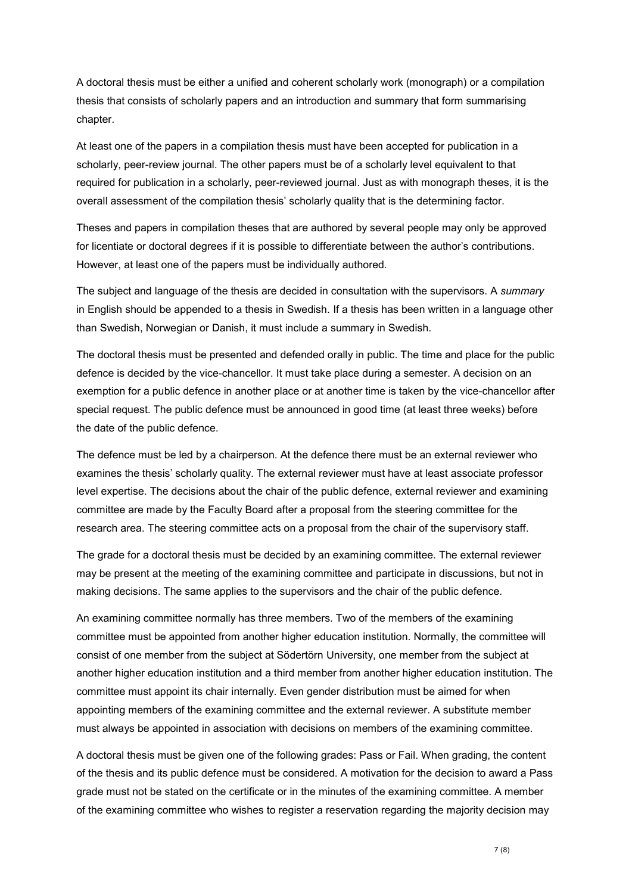A doctoral thesis must be either a unified and coherent scholarly work (monograph) or a compilation thesis that consists of scholarly papers and an introduction and summary that form summarising chapter.

At least one of the papers in a compilation thesis must have been accepted for publication in a scholarly, peer-review journal. The other papers must be of a scholarly level equivalent to that required for publication in a scholarly, peer-reviewed journal. Just as with monograph theses, it is the overall assessment of the compilation thesis' scholarly quality that is the determining factor.

Theses and papers in compilation theses that are authored by several people may only be approved for licentiate or doctoral degrees if it is possible to differentiate between the author's contributions. However, at least one of the papers must be individually authored.

The subject and language of the thesis are decided in consultation with the supervisors. A *summary* in English should be appended to a thesis in Swedish. If a thesis has been written in a language other than Swedish, Norwegian or Danish, it must include a summary in Swedish.

The doctoral thesis must be presented and defended orally in public. The time and place for the public defence is decided by the vice-chancellor. It must take place during a semester. A decision on an exemption for a public defence in another place or at another time is taken by the vice-chancellor after special request. The public defence must be announced in good time (at least three weeks) before the date of the public defence.

The defence must be led by a chairperson. At the defence there must be an external reviewer who examines the thesis' scholarly quality. The external reviewer must have at least associate professor level expertise. The decisions about the chair of the public defence, external reviewer and examining committee are made by the Faculty Board after a proposal from the steering committee for the research area. The steering committee acts on a proposal from the chair of the supervisory staff.

The grade for a doctoral thesis must be decided by an examining committee. The external reviewer may be present at the meeting of the examining committee and participate in discussions, but not in making decisions. The same applies to the supervisors and the chair of the public defence.

An examining committee normally has three members. Two of the members of the examining committee must be appointed from another higher education institution. Normally, the committee will consist of one member from the subject at Södertörn University, one member from the subject at another higher education institution and a third member from another higher education institution. The committee must appoint its chair internally. Even gender distribution must be aimed for when appointing members of the examining committee and the external reviewer. A substitute member must always be appointed in association with decisions on members of the examining committee.

A doctoral thesis must be given one of the following grades: Pass or Fail. When grading, the content of the thesis and its public defence must be considered. A motivation for the decision to award a Pass grade must not be stated on the certificate or in the minutes of the examining committee. A member of the examining committee who wishes to register a reservation regarding the majority decision may